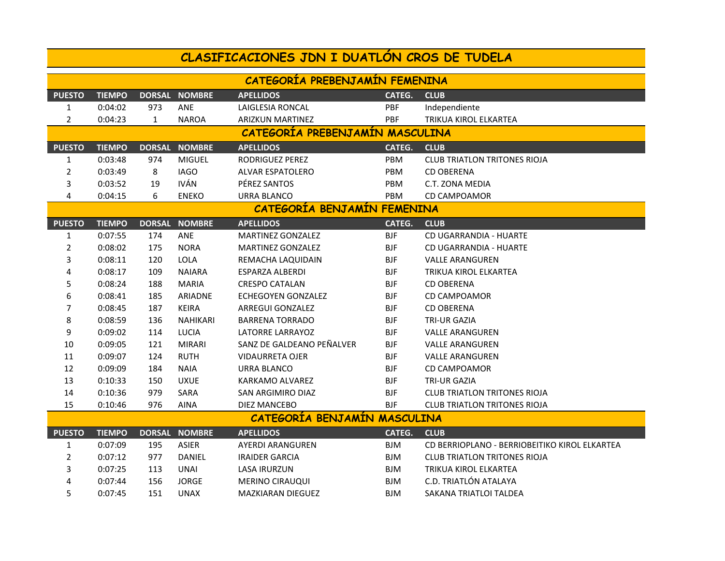| CLASIFICACIONES JDN I DUATLON CROS DE TUDELA |               |               |                      |                           |            |                                               |  |  |  |
|----------------------------------------------|---------------|---------------|----------------------|---------------------------|------------|-----------------------------------------------|--|--|--|
| CATEGORÍA PREBENJAMÍN FEMENINA               |               |               |                      |                           |            |                                               |  |  |  |
| <b>PUESTO</b>                                | <b>TIEMPO</b> |               | DORSAL NOMBRE        | <b>APELLIDOS</b>          | CATEG.     | <b>CLUB</b>                                   |  |  |  |
| 1                                            | 0:04:02       | 973           | ANE                  | LAIGLESIA RONCAL          | PBF        | Independiente                                 |  |  |  |
| $\overline{2}$                               | 0:04:23       | 1             | <b>NAROA</b>         | <b>ARIZKUN MARTINEZ</b>   | PBF        | TRIKUA KIROL ELKARTEA                         |  |  |  |
| CATEGORIA PREBENJAMIN MASCULINA              |               |               |                      |                           |            |                                               |  |  |  |
| <b>PUESTO</b>                                | <b>TIEMPO</b> | <b>DORSAL</b> | <b>NOMBRE</b>        | <b>APELLIDOS</b>          | CATEG.     | <b>CLUB</b>                                   |  |  |  |
| $\mathbf{1}$                                 | 0:03:48       | 974           | <b>MIGUEL</b>        | RODRIGUEZ PEREZ           | PBM        | <b>CLUB TRIATLON TRITONES RIOJA</b>           |  |  |  |
| $\overline{2}$                               | 0:03:49       | 8             | <b>IAGO</b>          | ALVAR ESPATOLERO          | PBM        | <b>CD OBERENA</b>                             |  |  |  |
| 3                                            | 0:03:52       | 19            | <b>IVÁN</b>          | PÉREZ SANTOS              | PBM        | C.T. ZONA MEDIA                               |  |  |  |
| 4                                            | 0:04:15       | 6             | <b>ENEKO</b>         | URRA BLANCO               | <b>PBM</b> | <b>CD CAMPOAMOR</b>                           |  |  |  |
| CATEGORÍA BENJAMÍN FEMENINA                  |               |               |                      |                           |            |                                               |  |  |  |
| <b>PUESTO</b>                                | <b>TIEMPO</b> |               | <b>DORSAL NOMBRE</b> | <b>APELLIDOS</b>          | CATEG.     | <b>CLUB</b>                                   |  |  |  |
| 1                                            | 0:07:55       | 174           | <b>ANE</b>           | <b>MARTINEZ GONZALEZ</b>  | <b>BJF</b> | <b>CD UGARRANDIA - HUARTE</b>                 |  |  |  |
| 2                                            | 0:08:02       | 175           | <b>NORA</b>          | <b>MARTINEZ GONZALEZ</b>  | <b>BJF</b> | <b>CD UGARRANDIA - HUARTE</b>                 |  |  |  |
| 3                                            | 0:08:11       | 120           | <b>LOLA</b>          | REMACHA LAQUIDAIN         | <b>BJF</b> | <b>VALLE ARANGUREN</b>                        |  |  |  |
| 4                                            | 0:08:17       | 109           | <b>NAIARA</b>        | <b>ESPARZA ALBERDI</b>    | <b>BJF</b> | TRIKUA KIROL ELKARTEA                         |  |  |  |
| 5                                            | 0:08:24       | 188           | <b>MARIA</b>         | <b>CRESPO CATALAN</b>     | <b>BJF</b> | <b>CD OBERENA</b>                             |  |  |  |
| 6                                            | 0:08:41       | 185           | <b>ARIADNE</b>       | <b>ECHEGOYEN GONZALEZ</b> | <b>BJF</b> | <b>CD CAMPOAMOR</b>                           |  |  |  |
| 7                                            | 0:08:45       | 187           | <b>KEIRA</b>         | <b>ARREGUI GONZALEZ</b>   | <b>BJF</b> | <b>CD OBERENA</b>                             |  |  |  |
| 8                                            | 0:08:59       | 136           | <b>NAHIKARI</b>      | <b>BARRENA TORRADO</b>    | <b>BJF</b> | TRI-UR GAZIA                                  |  |  |  |
| 9                                            | 0:09:02       | 114           | LUCIA                | LATORRE LARRAYOZ          | <b>BJF</b> | <b>VALLE ARANGUREN</b>                        |  |  |  |
| 10                                           | 0:09:05       | 121           | <b>MIRARI</b>        | SANZ DE GALDEANO PEÑALVER | <b>BJF</b> | <b>VALLE ARANGUREN</b>                        |  |  |  |
| 11                                           | 0:09:07       | 124           | <b>RUTH</b>          | <b>VIDAURRETA OJER</b>    | <b>BJF</b> | <b>VALLE ARANGUREN</b>                        |  |  |  |
| 12                                           | 0:09:09       | 184           | <b>NAIA</b>          | URRA BLANCO               | <b>BJF</b> | <b>CD CAMPOAMOR</b>                           |  |  |  |
| 13                                           | 0:10:33       | 150           | <b>UXUE</b>          | KARKAMO ALVAREZ           | <b>BJF</b> | TRI-UR GAZIA                                  |  |  |  |
| 14                                           | 0:10:36       | 979           | SARA                 | <b>SAN ARGIMIRO DIAZ</b>  | <b>BJF</b> | <b>CLUB TRIATLON TRITONES RIOJA</b>           |  |  |  |
| 15                                           | 0:10:46       | 976           | AINA                 | DIEZ MANCEBO              | <b>BJF</b> | <b>CLUB TRIATLON TRITONES RIOJA</b>           |  |  |  |
| CATEGORIA BENJAMIN MASCULINA                 |               |               |                      |                           |            |                                               |  |  |  |
| <b>PUESTO</b>                                | <b>TIEMPO</b> |               | DORSAL NOMBRE        | <b>APELLIDOS</b>          | CATEG.     | <b>CLUB</b>                                   |  |  |  |
| $\mathbf{1}$                                 | 0:07:09       | 195           | <b>ASIER</b>         | <b>AYERDI ARANGUREN</b>   | <b>BJM</b> | CD BERRIOPLANO - BERRIOBEITIKO KIROL ELKARTEA |  |  |  |
| $\overline{2}$                               | 0:07:12       | 977           | DANIEL               | <b>IRAIDER GARCIA</b>     | <b>BJM</b> | <b>CLUB TRIATLON TRITONES RIOJA</b>           |  |  |  |
| 3                                            | 0:07:25       | 113           | UNAI                 | LASA IRURZUN              | BJM        | TRIKUA KIROL ELKARTEA                         |  |  |  |
| 4                                            | 0:07:44       | 156           | <b>JORGE</b>         | <b>MERINO CIRAUQUI</b>    | <b>BJM</b> | C.D. TRIATLÓN ATALAYA                         |  |  |  |
| 5                                            | 0:07:45       | 151           | <b>UNAX</b>          | MAZKIARAN DIEGUEZ         | <b>BJM</b> | SAKANA TRIATLOI TALDEA                        |  |  |  |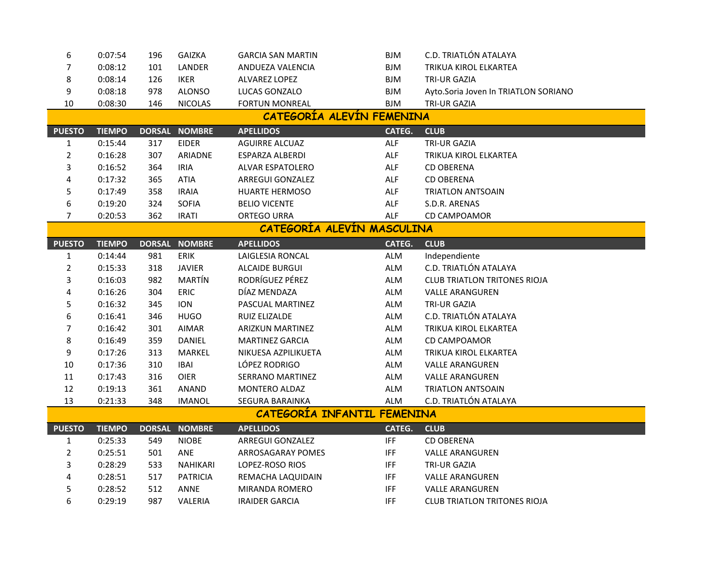| 6                           | 0:07:54       | 196 | <b>GAIZKA</b>   | <b>GARCIA SAN MARTIN</b> | <b>BJM</b> | C.D. TRIATLÓN ATALAYA                |  |  |  |
|-----------------------------|---------------|-----|-----------------|--------------------------|------------|--------------------------------------|--|--|--|
| $\overline{7}$              | 0:08:12       | 101 | LANDER          | ANDUEZA VALENCIA         | <b>BJM</b> | TRIKUA KIROL ELKARTEA                |  |  |  |
| 8                           | 0:08:14       | 126 | <b>IKER</b>     | <b>ALVAREZ LOPEZ</b>     | <b>BJM</b> | TRI-UR GAZIA                         |  |  |  |
| 9                           | 0:08:18       | 978 | <b>ALONSO</b>   | LUCAS GONZALO            | <b>BJM</b> | Ayto.Soria Joven In TRIATLON SORIANO |  |  |  |
| 10                          | 0:08:30       | 146 | <b>NICOLAS</b>  | <b>FORTUN MONREAL</b>    | <b>BJM</b> | TRI-UR GAZIA                         |  |  |  |
| CATEGORIA ALEVIN FEMENINA   |               |     |                 |                          |            |                                      |  |  |  |
| <b>PUESTO</b>               | <b>TIEMPO</b> |     | DORSAL NOMBRE   | <b>APELLIDOS</b>         | CATEG.     | <b>CLUB</b>                          |  |  |  |
| 1                           | 0:15:44       | 317 | <b>EIDER</b>    | <b>AGUIRRE ALCUAZ</b>    | ALF        | <b>TRI-UR GAZIA</b>                  |  |  |  |
| $\overline{2}$              | 0:16:28       | 307 | ARIADNE         | ESPARZA ALBERDI          | ALF        | TRIKUA KIROL ELKARTEA                |  |  |  |
| 3                           | 0:16:52       | 364 | <b>IRIA</b>     | ALVAR ESPATOLERO         | ALF        | <b>CD OBERENA</b>                    |  |  |  |
| 4                           | 0:17:32       | 365 | <b>ATIA</b>     | ARREGUI GONZALEZ         | <b>ALF</b> | <b>CD OBERENA</b>                    |  |  |  |
| 5                           | 0:17:49       | 358 | <b>IRAIA</b>    | <b>HUARTE HERMOSO</b>    | ALF        | <b>TRIATLON ANTSOAIN</b>             |  |  |  |
| 6                           | 0:19:20       | 324 | <b>SOFIA</b>    | <b>BELIO VICENTE</b>     | <b>ALF</b> | S.D.R. ARENAS                        |  |  |  |
| 7                           | 0:20:53       | 362 | <b>IRATI</b>    | ORTEGO URRA              | <b>ALF</b> | <b>CD CAMPOAMOR</b>                  |  |  |  |
| CATEGORÍA ALEVÍN MASCULINA  |               |     |                 |                          |            |                                      |  |  |  |
| <b>PUESTO</b>               | <b>TIEMPO</b> |     | DORSAL NOMBRE   | <b>APELLIDOS</b>         | CATEG.     | <b>CLUB</b>                          |  |  |  |
| $\mathbf{1}$                | 0:14:44       | 981 | <b>ERIK</b>     | LAIGLESIA RONCAL         | <b>ALM</b> | Independiente                        |  |  |  |
| $\overline{2}$              | 0:15:33       | 318 | <b>JAVIER</b>   | <b>ALCAIDE BURGUI</b>    | ALM        | C.D. TRIATLÓN ATALAYA                |  |  |  |
| 3                           | 0:16:03       | 982 | MARTÍN          | RODRÍGUEZ PÉREZ          | ALM        | <b>CLUB TRIATLON TRITONES RIOJA</b>  |  |  |  |
| 4                           | 0:16:26       | 304 | <b>ERIC</b>     | DÍAZ MENDAZA             | <b>ALM</b> | <b>VALLE ARANGUREN</b>               |  |  |  |
| 5                           | 0:16:32       | 345 | <b>ION</b>      | PASCUAL MARTINEZ         | <b>ALM</b> | TRI-UR GAZIA                         |  |  |  |
| 6                           | 0:16:41       | 346 | <b>HUGO</b>     | RUIZ ELIZALDE            | ALM        | C.D. TRIATLÓN ATALAYA                |  |  |  |
| 7                           | 0:16:42       | 301 | AIMAR           | <b>ARIZKUN MARTINEZ</b>  | <b>ALM</b> | TRIKUA KIROL ELKARTEA                |  |  |  |
| 8                           | 0:16:49       | 359 | DANIEL          | <b>MARTINEZ GARCIA</b>   | <b>ALM</b> | <b>CD CAMPOAMOR</b>                  |  |  |  |
| 9                           | 0:17:26       | 313 | MARKEL          | NIKUESA AZPILIKUETA      | <b>ALM</b> | TRIKUA KIROL ELKARTEA                |  |  |  |
| $10\,$                      | 0:17:36       | 310 | <b>IBAI</b>     | LÓPEZ RODRIGO            | ALM        | <b>VALLE ARANGUREN</b>               |  |  |  |
| 11                          | 0:17:43       | 316 | <b>OIER</b>     | SERRANO MARTINEZ         | <b>ALM</b> | <b>VALLE ARANGUREN</b>               |  |  |  |
| 12                          | 0:19:13       | 361 | ANAND           | MONTERO ALDAZ            | <b>ALM</b> | <b>TRIATLON ANTSOAIN</b>             |  |  |  |
| 13                          | 0:21:33       | 348 | <b>IMANOL</b>   | SEGURA BARAINKA          | <b>ALM</b> | C.D. TRIATLÓN ATALAYA                |  |  |  |
| CATEGORIA INFANTIL FEMENINA |               |     |                 |                          |            |                                      |  |  |  |
| <b>PUESTO</b>               | <b>TIEMPO</b> |     | DORSAL NOMBRE   | <b>APELLIDOS</b>         | CATEG.     | <b>CLUB</b>                          |  |  |  |
| $\mathbf{1}$                | 0:25:33       | 549 | <b>NIOBE</b>    | ARREGUI GONZALEZ         | <b>IFF</b> | <b>CD OBERENA</b>                    |  |  |  |
| $\overline{2}$              | 0:25:51       | 501 | ANE             | ARROSAGARAY POMES        | <b>IFF</b> | <b>VALLE ARANGUREN</b>               |  |  |  |
| 3                           | 0:28:29       | 533 | NAHIKARI        | LOPEZ-ROSO RIOS          | <b>IFF</b> | TRI-UR GAZIA                         |  |  |  |
| 4                           | 0:28:51       | 517 | <b>PATRICIA</b> | REMACHA LAQUIDAIN        | IFF        | <b>VALLE ARANGUREN</b>               |  |  |  |
| 5                           | 0:28:52       | 512 | <b>ANNE</b>     | MIRANDA ROMERO           | <b>IFF</b> | <b>VALLE ARANGUREN</b>               |  |  |  |
| 6                           | 0:29:19       | 987 | VALERIA         | <b>IRAIDER GARCIA</b>    | <b>IFF</b> | <b>CLUB TRIATLON TRITONES RIOJA</b>  |  |  |  |